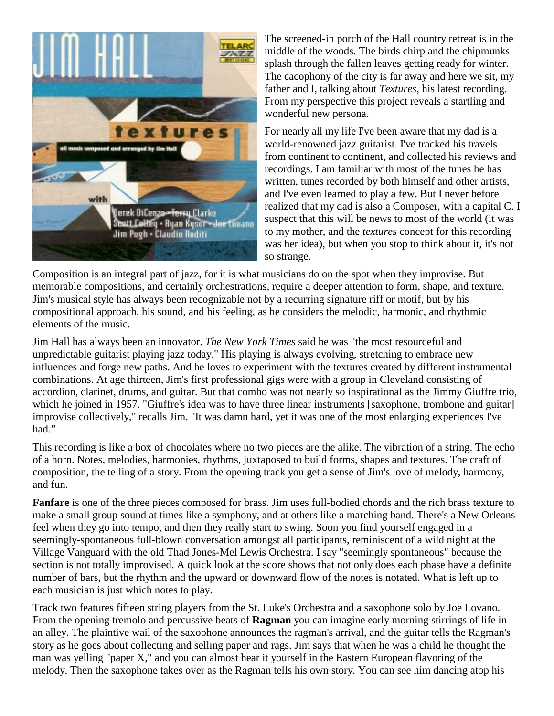

The screened-in porch of the Hall country retreat is in the middle of the woods. The birds chirp and the chipmunks splash through the fallen leaves getting ready for winter. The cacophony of the city is far away and here we sit, my father and I, talking about *Textures*, his latest recording. From my perspective this project reveals a startling and wonderful new persona.

For nearly all my life I've been aware that my dad is a world-renowned jazz guitarist. I've tracked his travels from continent to continent, and collected his reviews and recordings. I am familiar with most of the tunes he has written, tunes recorded by both himself and other artists, and I've even learned to play a few. But I never before realized that my dad is also a Composer, with a capital C. I suspect that this will be news to most of the world (it was to my mother, and the *textures* concept for this recording was her idea), but when you stop to think about it, it's not so strange.

Composition is an integral part of jazz, for it is what musicians do on the spot when they improvise. But memorable compositions, and certainly orchestrations, require a deeper attention to form, shape, and texture. Jim's musical style has always been recognizable not by a recurring signature riff or motif, but by his compositional approach, his sound, and his feeling, as he considers the melodic, harmonic, and rhythmic elements of the music.

Jim Hall has always been an innovator. *The New York Times* said he was "the most resourceful and unpredictable guitarist playing jazz today." His playing is always evolving, stretching to embrace new influences and forge new paths. And he loves to experiment with the textures created by different instrumental combinations. At age thirteen, Jim's first professional gigs were with a group in Cleveland consisting of accordion, clarinet, drums, and guitar. But that combo was not nearly so inspirational as the Jimmy Giuffre trio, which he joined in 1957. "Giuffre's idea was to have three linear instruments [saxophone, trombone and guitar] improvise collectively," recalls Jim. "It was damn hard, yet it was one of the most enlarging experiences I've had."

This recording is like a box of chocolates where no two pieces are the alike. The vibration of a string. The echo of a horn. Notes, melodies, harmonies, rhythms, juxtaposed to build forms, shapes and textures. The craft of composition, the telling of a story. From the opening track you get a sense of Jim's love of melody, harmony, and fun.

**Fanfare** is one of the three pieces composed for brass. Jim uses full-bodied chords and the rich brass texture to make a small group sound at times like a symphony, and at others like a marching band. There's a New Orleans feel when they go into tempo, and then they really start to swing. Soon you find yourself engaged in a seemingly-spontaneous full-blown conversation amongst all participants, reminiscent of a wild night at the Village Vanguard with the old Thad Jones-Mel Lewis Orchestra. I say "seemingly spontaneous" because the section is not totally improvised. A quick look at the score shows that not only does each phase have a definite number of bars, but the rhythm and the upward or downward flow of the notes is notated. What is left up to each musician is just which notes to play.

Track two features fifteen string players from the St. Luke's Orchestra and a saxophone solo by Joe Lovano. From the opening tremolo and percussive beats of **Ragman** you can imagine early morning stirrings of life in an alley. The plaintive wail of the saxophone announces the ragman's arrival, and the guitar tells the Ragman's story as he goes about collecting and selling paper and rags. Jim says that when he was a child he thought the man was yelling "paper X," and you can almost hear it yourself in the Eastern European flavoring of the melody. Then the saxophone takes over as the Ragman tells his own story. You can see him dancing atop his